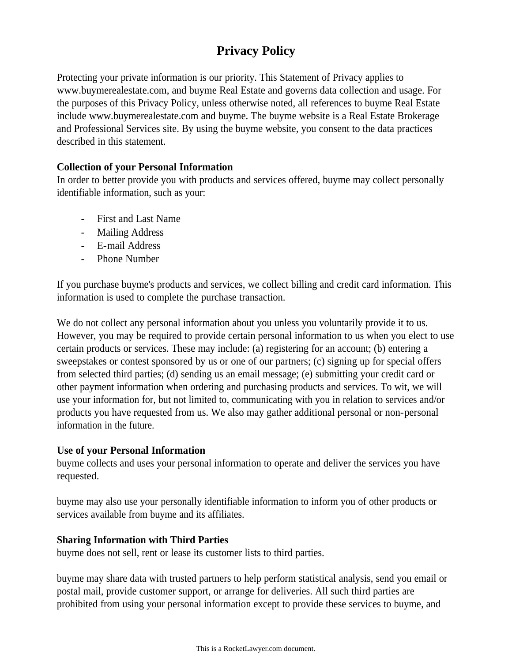# **Privacy Policy**

Protecting your private information is our priority. This Statement of Privacy applies to www.buymerealestate.com, and buyme Real Estate and governs data collection and usage. For the purposes of this Privacy Policy, unless otherwise noted, all references to buyme Real Estate include www.buymerealestate.com and buyme. The buyme website is a Real Estate Brokerage and Professional Services site. By using the buyme website, you consent to the data practices described in this statement.

## **Collection of your Personal Information**

In order to better provide you with products and services offered, buyme may collect personally identifiable information, such as your:

- First and Last Name
- Mailing Address
- E-mail Address
- Phone Number

If you purchase buyme's products and services, we collect billing and credit card information. This information is used to complete the purchase transaction.

We do not collect any personal information about you unless you voluntarily provide it to us. However, you may be required to provide certain personal information to us when you elect to use certain products or services. These may include: (a) registering for an account; (b) entering a sweepstakes or contest sponsored by us or one of our partners; (c) signing up for special offers from selected third parties; (d) sending us an email message; (e) submitting your credit card or other payment information when ordering and purchasing products and services. To wit, we will use your information for, but not limited to, communicating with you in relation to services and/or products you have requested from us. We also may gather additional personal or non-personal information in the future.

## **Use of your Personal Information**

buyme collects and uses your personal information to operate and deliver the services you have requested.

buyme may also use your personally identifiable information to inform you of other products or services available from buyme and its affiliates.

## **Sharing Information with Third Parties**

buyme does not sell, rent or lease its customer lists to third parties.

buyme may share data with trusted partners to help perform statistical analysis, send you email or postal mail, provide customer support, or arrange for deliveries. All such third parties are prohibited from using your personal information except to provide these services to buyme, and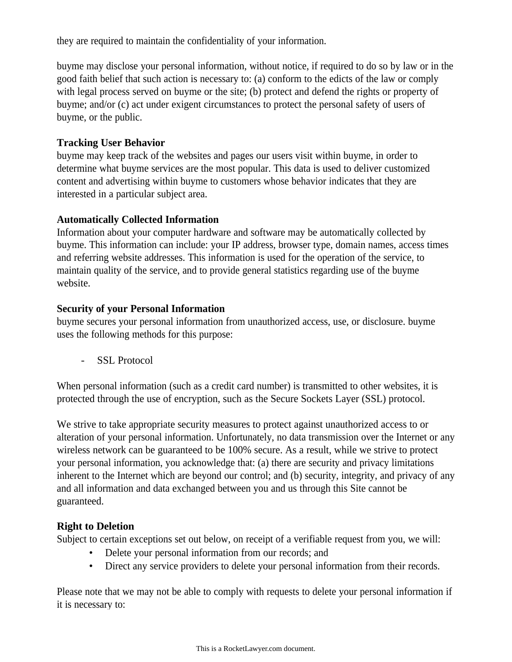they are required to maintain the confidentiality of your information.

buyme may disclose your personal information, without notice, if required to do so by law or in the good faith belief that such action is necessary to: (a) conform to the edicts of the law or comply with legal process served on buyme or the site; (b) protect and defend the rights or property of buyme; and/or (c) act under exigent circumstances to protect the personal safety of users of buyme, or the public.

## **Tracking User Behavior**

buyme may keep track of the websites and pages our users visit within buyme, in order to determine what buyme services are the most popular. This data is used to deliver customized content and advertising within buyme to customers whose behavior indicates that they are interested in a particular subject area.

## **Automatically Collected Information**

Information about your computer hardware and software may be automatically collected by buyme. This information can include: your IP address, browser type, domain names, access times and referring website addresses. This information is used for the operation of the service, to maintain quality of the service, and to provide general statistics regarding use of the buyme website.

## **Security of your Personal Information**

buyme secures your personal information from unauthorized access, use, or disclosure. buyme uses the following methods for this purpose:

- SSL Protocol

When personal information (such as a credit card number) is transmitted to other websites, it is protected through the use of encryption, such as the Secure Sockets Layer (SSL) protocol.

We strive to take appropriate security measures to protect against unauthorized access to or alteration of your personal information. Unfortunately, no data transmission over the Internet or any wireless network can be guaranteed to be 100% secure. As a result, while we strive to protect your personal information, you acknowledge that: (a) there are security and privacy limitations inherent to the Internet which are beyond our control; and (b) security, integrity, and privacy of any and all information and data exchanged between you and us through this Site cannot be guaranteed.

# **Right to Deletion**

Subject to certain exceptions set out below, on receipt of a verifiable request from you, we will:

- Delete your personal information from our records; and
- Direct any service providers to delete your personal information from their records.

Please note that we may not be able to comply with requests to delete your personal information if it is necessary to: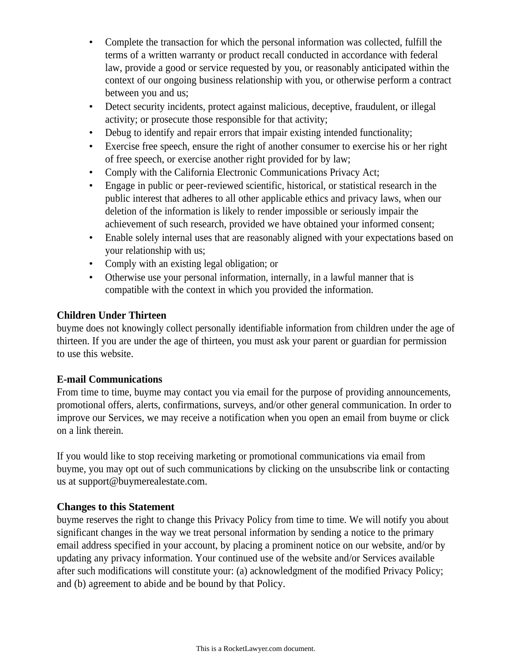- Complete the transaction for which the personal information was collected, fulfill the terms of a written warranty or product recall conducted in accordance with federal law, provide a good or service requested by you, or reasonably anticipated within the context of our ongoing business relationship with you, or otherwise perform a contract between you and us;
- Detect security incidents, protect against malicious, deceptive, fraudulent, or illegal activity; or prosecute those responsible for that activity;
- Debug to identify and repair errors that impair existing intended functionality;
- Exercise free speech, ensure the right of another consumer to exercise his or her right of free speech, or exercise another right provided for by law;
- Comply with the California Electronic Communications Privacy Act;
- Engage in public or peer-reviewed scientific, historical, or statistical research in the public interest that adheres to all other applicable ethics and privacy laws, when our deletion of the information is likely to render impossible or seriously impair the achievement of such research, provided we have obtained your informed consent;
- Enable solely internal uses that are reasonably aligned with your expectations based on your relationship with us;
- Comply with an existing legal obligation; or
- Otherwise use your personal information, internally, in a lawful manner that is compatible with the context in which you provided the information.

## **Children Under Thirteen**

buyme does not knowingly collect personally identifiable information from children under the age of thirteen. If you are under the age of thirteen, you must ask your parent or guardian for permission to use this website.

## **E-mail Communications**

From time to time, buyme may contact you via email for the purpose of providing announcements, promotional offers, alerts, confirmations, surveys, and/or other general communication. In order to improve our Services, we may receive a notification when you open an email from buyme or click on a link therein.

If you would like to stop receiving marketing or promotional communications via email from buyme, you may opt out of such communications by clicking on the unsubscribe link or contacting us at support@buymerealestate.com.

# **Changes to this Statement**

buyme reserves the right to change this Privacy Policy from time to time. We will notify you about significant changes in the way we treat personal information by sending a notice to the primary email address specified in your account, by placing a prominent notice on our website, and/or by updating any privacy information. Your continued use of the website and/or Services available after such modifications will constitute your: (a) acknowledgment of the modified Privacy Policy; and (b) agreement to abide and be bound by that Policy.